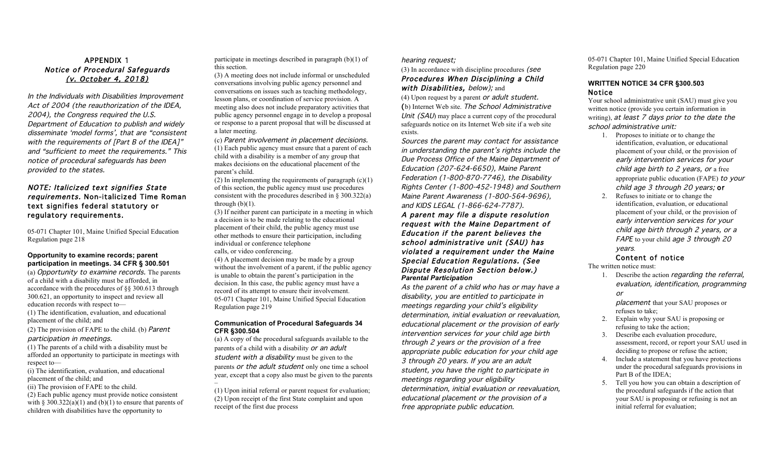# APPENDIX 1 Notice of Procedural Safeguards (v. October 4, 2018)

In the Individuals with Disabilities Improvement Act of 2004 (the reauthorization of the IDEA, 2004), the Congress required the U.S. Department of Education to publish and widely disseminate 'model forms', that are "consistent with the requirements of [Part B of the IDEA]" and "sufficient to meet the requirements." This notice of procedural safeguards has been provided to the states.

# NOTE: Italicized text signifies State requirements. Non-italicized Time Roman text signifies federal statutory or regulatory requirements.

05-071 Chapter 101, Maine Unified Special Education Regulation page 218

#### **Opportunity to examine records; parent participation in meetings. 34 CFR § 300.501**

(a) Opportunity to examine records. The parents of a child with a disability must be afforded, in accordance with the procedures of §§ 300.613 through 300.621, an opportunity to inspect and review all education records with respect to— (1) The identification, evaluation, and educational

placement of the child; and

(2) The provision of FAPE to the child. (b) Parent participation in meetings.

(1) The parents of a child with a disability must be afforded an opportunity to participate in meetings with respect to—

(i) The identification, evaluation, and educational placement of the child; and

(ii) The provision of FAPE to the child.

(2) Each public agency must provide notice consistent with  $\S 300.322(a)(1)$  and (b)(1) to ensure that parents of children with disabilities have the opportunity to

participate in meetings described in paragraph (b)(1) of this section.

(3) A meeting does not include informal or unscheduled conversations involving public agency personnel and conversations on issues such as teaching methodology, lesson plans, or coordination of service provision. A meeting also does not include preparatory activities that public agency personnel engage in to develop a proposal or response to a parent proposal that will be discussed at a later meeting.

(c) Parent involvement in placement decisions. (1) Each public agency must ensure that a parent of each child with a disability is a member of any group that makes decisions on the educational placement of the parent's child.

(2) In implementing the requirements of paragraph  $(c)(1)$ of this section, the public agency must use procedures consistent with the procedures described in § 300.322(a) through  $(b)(1)$ .

(3) If neither parent can participate in a meeting in which a decision is to be made relating to the educational placement of their child, the public agency must use other methods to ensure their participation, including individual or conference telephone calls, or video conferencing.

(4) A placement decision may be made by a group without the involvement of a parent, if the public agency is unable to obtain the parent's participation in the decision. In this case, the public agency must have a record of its attempt to ensure their involvement. 05-071 Chapter 101, Maine Unified Special Education Regulation page 219

# **Communication of Procedural Safeguards 34 CFR §300.504**

(a) A copy of the procedural safeguards available to the parents of a child with a disability or an adult student with a disability must be given to the parents or the adult student only one time a school year, except that a copy also must be given to the parents –

(1) Upon initial referral or parent request for evaluation; (2) Upon receipt of the first State complaint and upon receipt of the first due process

# hearing request;

(3) In accordance with discipline procedures (see Procedures When Disciplining a Child with Disabilities, below); and

(4) Upon request by a parent or adult student. (b) Internet Web site. The School Administrative Unit (SAU) may place a current copy of the procedural safeguards notice on its Internet Web site if a web site exists.

Sources the parent may contact for assistance in understanding the parent's rights include the Due Process Office of the Maine Department of Education (207-624-6650), Maine Parent Federation (1-800-870-7746), the Disability Rights Center (1-800-452-1948) and Southern Maine Parent Awareness (1-800-564-9696), and KIDS LEGAL (1-866-624-7787).

# A parent may file a dispute resolution request with the Maine Department of Education if the parent believes the school administrative unit (SAU) has violated a requirement under the Maine Special Education Regulations. (See Dispute Resolution Section below.) *Parental Participation*

As the parent of a child who has or may have a disability, you are entitled to participate in meetings regarding your child's eligibility determination, initial evaluation or reevaluation, educational placement or the provision of early intervention services for your child age birth through 2 years or the provision of a free appropriate public education for your child age 3 through 20 years. If you are an adult student, you have the right to participate in meetings regarding your eligibility determination, initial evaluation or reevaluation, educational placement or the provision of a free appropriate public education.

05-071 Chapter 101, Maine Unified Special Education Regulation page 220

# **WRITTEN NOTICE 34 CFR §300.503**  Notice

Your school administrative unit (SAU) must give you written notice (provide you certain information in writing), at least 7 days prior to the date the school administrative unit:

- 1. Proposes to initiate or to change the identification, evaluation, or educational placement of your child, or the provision of early intervention services for your child age birth to 2 years, or a free appropriate public education (FAPE) to your child age 3 through 20 years; or
- 2. Refuses to initiate or to change the identification, evaluation, or educational placement of your child, or the provision of early intervention services for your child age birth through 2 years, or a FAPE to your child age 3 through 20 years.

# Content of notice

The written notice must:

1. Describe the action regarding the referral, evaluation, identification, programming or

placement that your SAU proposes or refuses to take;

- 2. Explain why your SAU is proposing or refusing to take the action;
- 3. Describe each evaluation procedure, assessment, record, or report your SAU used in deciding to propose or refuse the action;
- 4. Include a statement that you have protections under the procedural safeguards provisions in Part B of the IDEA;
- 5. Tell you how you can obtain a description of the procedural safeguards if the action that your SAU is proposing or refusing is not an initial referral for evaluation;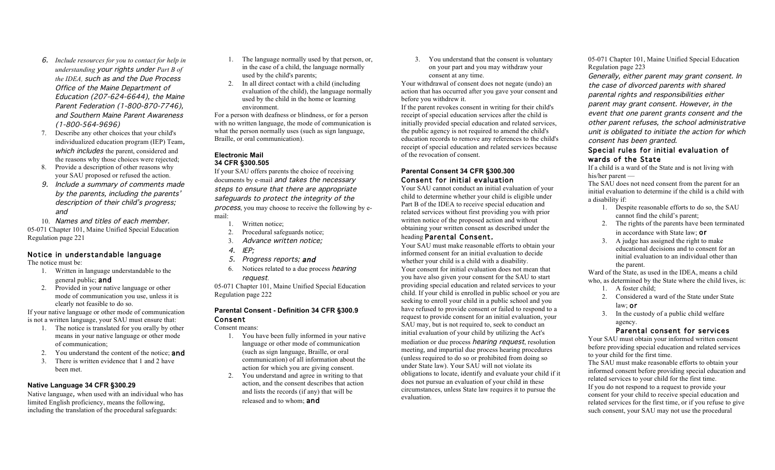- 6. *Include resources for you to contact for help in understanding* your rights under *Part B of the IDEA,* such as and the Due Process Office of the Maine Department of Education (207-624-6644), the Maine Parent Federation (1-800-870-7746), and Southern Maine Parent Awareness (1-800-564-9696)
- 7. Describe any other choices that your child's individualized education program (IEP) Team, which includes the parent, considered and the reasons why those choices were rejected;
- 8. Provide a description of other reasons why your SAU proposed or refused the action.
- 9. Include a summary of comments made by the parents, including the parents' description of their child's progress; and

10. Names and titles of each member. 05-071 Chapter 101, Maine Unified Special Education Regulation page 221

# Notice in understandable language

The notice must be:

- 1. Written in language understandable to the general public; and
- 2. Provided in your native language or other mode of communication you use, unless it is clearly not feasible to do so.

If your native language or other mode of communication is not a written language, your SAU must ensure that:

- 1. The notice is translated for you orally by other means in your native language or other mode of communication;
- 2. You understand the content of the notice: **and**
- 3. There is written evidence that 1 and 2 have been met.

# **Native Language 34 CFR §300.29**

Native language, when used with an individual who has limited English proficiency, means the following, including the translation of the procedural safeguards:

- 1. The language normally used by that person, or, in the case of a child, the language normally used by the child's parents;
- 2. In all direct contact with a child (including evaluation of the child), the language normally used by the child in the home or learning environment.

For a person with deafness or blindness, or for a person with no written language, the mode of communication is what the person normally uses (such as sign language, Braille, or oral communication).

#### **Electronic Mail 34 CFR §300.505**

If your SAU offers parents the choice of receiving documents by e-mail and takes the necessary steps to ensure that there are appropriate safeguards to protect the integrity of the process, you may choose to receive the following by email:

- 1. Written notice;
- 2. Procedural safeguards notice;
- 3. Advance written notice;
- 4. IEP;
- 5. Progress reports; and
- 6. Notices related to a due process hearing request.

05-071 Chapter 101, Maine Unified Special Education Regulation page 222

# **Parental Consent - Definition 34 CFR §300.9**  Consent

#### Consent means:

- 1. You have been fully informed in your native language or other mode of communication (such as sign language, Braille, or oral communication) of all information about the action for which you are giving consent.
- 2. You understand and agree in writing to that action, and the consent describes that action and lists the records (if any) that will be released and to whom; and

3. You understand that the consent is voluntary on your part and you may withdraw your consent at any time.

Your withdrawal of consent does not negate (undo) an action that has occurred after you gave your consent and before you withdrew it.

If the parent revokes consent in writing for their child's receipt of special education services after the child is initially provided special education and related services, the public agency is not required to amend the child's education records to remove any references to the child's receipt of special education and related services because of the revocation of consent.

## **Parental Consent 34 CFR §300.300**  Consent for initial evaluation

Your SAU cannot conduct an initial evaluation of your child to determine whether your child is eligible under Part B of the IDEA to receive special education and related services without first providing you with prior written notice of the proposed action and without obtaining your written consent as described under the heading Parental Consent.

Your SAU must make reasonable efforts to obtain your informed consent for an initial evaluation to decide whether your child is a child with a disability. Your consent for initial evaluation does not mean that you have also given your consent for the SAU to start providing special education and related services to your child. If your child is enrolled in public school or you are seeking to enroll your child in a public school and you have refused to provide consent or failed to respond to a request to provide consent for an initial evaluation, your SAU may, but is not required to, seek to conduct an initial evaluation of your child by utilizing the Act's mediation or due process hearing request, resolution meeting, and impartial due process hearing procedures (unless required to do so or prohibited from doing so under State law). Your SAU will not violate its obligations to locate, identify and evaluate your child if it does not pursue an evaluation of your child in these circumstances, unless State law requires it to pursue the evaluation.

05-071 Chapter 101, Maine Unified Special Education Regulation page 223

Generally, either parent may grant consent. In the case of divorced parents with shared parental rights and responsibilities either parent may grant consent. However, in the event that one parent grants consent and the other parent refuses, the school administrative unit is obligated to initiate the action for which consent has been granted.

# Special rules for initial evaluation of wards of the State

If a child is a ward of the State and is not living with his/her parent —

The SAU does not need consent from the parent for an initial evaluation to determine if the child is a child with a disability if:

- 1. Despite reasonable efforts to do so, the SAU cannot find the child's parent;
- 2. The rights of the parents have been terminated in accordance with State law; or
- 3. A judge has assigned the right to make educational decisions and to consent for an initial evaluation to an individual other than the parent.

Ward of the State, as used in the IDEA, means a child who, as determined by the State where the child lives, is:

- 1. A foster child;
- 2. Considered a ward of the State under State law; or
- 3. In the custody of a public child welfare agency.

# Parental consent for services

Your SAU must obtain your informed written consent before providing special education and related services to your child for the first time.

The SAU must make reasonable efforts to obtain your informed consent before providing special education and related services to your child for the first time. If you do not respond to a request to provide your consent for your child to receive special education and related services for the first time, or if you refuse to give such consent, your SAU may not use the procedural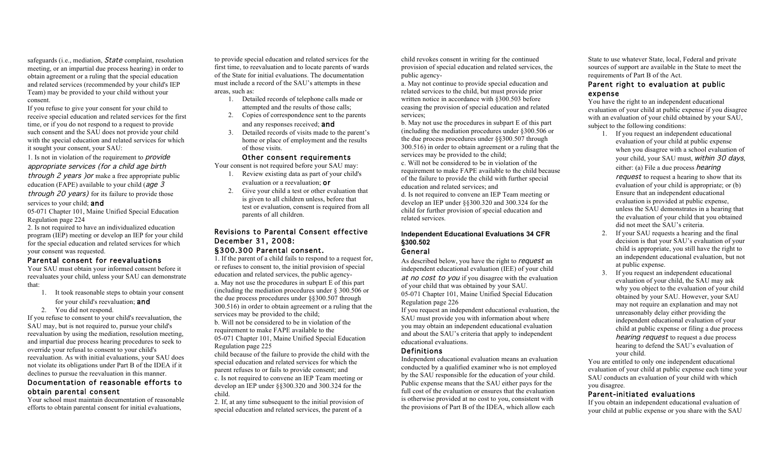safeguards (i.e., mediation, *State* complaint, resolution meeting, or an impartial due process hearing) in order to obtain agreement or a ruling that the special education and related services (recommended by your child's IEP Team) may be provided to your child without your consent.

If you refuse to give your consent for your child to receive special education and related services for the first time, or if you do not respond to a request to provide such consent and the SAU does not provide your child with the special education and related services for which it sought your consent, your SAU:

1. Is not in violation of the requirement to provide appropriate services (for a child age birth through 2 years ) or make a free appropriate public

education (FAPE) available to your child ( $age\ 3$ through 20 years) for its failure to provide those

# services to your child; and

05-071 Chapter 101, Maine Unified Special Education Regulation page 224

2. Is not required to have an individualized education program (IEP) meeting or develop an IEP for your child for the special education and related services for which your consent was requested.

# Parental consent for reevaluations

Your SAU must obtain your informed consent before it reevaluates your child, unless your SAU can demonstrate that:

- 1. It took reasonable steps to obtain your consent for your child's reevaluation; and
- 2. You did not respond.

If you refuse to consent to your child's reevaluation, the SAU may, but is not required to, pursue your child's reevaluation by using the mediation, resolution meeting, and impartial due process hearing procedures to seek to override your refusal to consent to your child's reevaluation. As with initial evaluations, your SAU does not violate its obligations under Part B of the IDEA if it declines to pursue the reevaluation in this manner.

# Documentation of reasonable efforts to obtain parental consent

Your school must maintain documentation of reasonable efforts to obtain parental consent for initial evaluations,

to provide special education and related services for the first time, to reevaluation and to locate parents of wards of the State for initial evaluations. The documentation must include a record of the SAU's attempts in these areas, such as:

- 1. Detailed records of telephone calls made or attempted and the results of those calls;
- 2. Copies of correspondence sent to the parents and any responses received; and
- 3. Detailed records of visits made to the parent's home or place of employment and the results of those visits.

# Other consent requirements

Your consent is not required before your SAU may:

- 1. Review existing data as part of your child's evaluation or a reevaluation; or
- 2. Give your child a test or other evaluation that is given to all children unless, before that test or evaluation, consent is required from all parents of all children.

# Revisions to Parental Consent effective December 31, 2008: §300.300 Parental consent.

1. If the parent of a child fails to respond to a request for, or refuses to consent to, the initial provision of special education and related services, the public agencya. May not use the procedures in subpart E of this part (including the mediation procedures under § 300.506 or the due process procedures under §§300.507 through 300.516) in order to obtain agreement or a ruling that the services may be provided to the child; b. Will not be considered to be in violation of the requirement to make FAPE available to the

05-071 Chapter 101, Maine Unified Special Education Regulation page 225

child because of the failure to provide the child with the special education and related services for which the parent refuses to or fails to provide consent; and c. Is not required to convene an IEP Team meeting or develop an IEP under §§300.320 and 300.324 for the child.

2. If, at any time subsequent to the initial provision of special education and related services, the parent of a

child revokes consent in writing for the continued provision of special education and related services, the public agency-

a. May not continue to provide special education and related services to the child, but must provide prior written notice in accordance with §300.503 before ceasing the provision of special education and related services;

b. May not use the procedures in subpart E of this part (including the mediation procedures under §300.506 or the due process procedures under §§300.507 through 300.516) in order to obtain agreement or a ruling that the services may be provided to the child;

c. Will not be considered to be in violation of the requirement to make FAPE available to the child because of the failure to provide the child with further special education and related services; and

d. Is not required to convene an IEP Team meeting or develop an IEP under §§300.320 and 300.324 for the child for further provision of special education and related services.

# **Independent Educational Evaluations 34 CFR §300.502**

General

As described below, you have the right to request an independent educational evaluation (IEE) of your child at no cost to you if you disagree with the evaluation of your child that was obtained by your SAU. 05-071 Chapter 101, Maine Unified Special Education Regulation page 226

If you request an independent educational evaluation, the SAU must provide you with information about where you may obtain an independent educational evaluation and about the SAU's criteria that apply to independent educational evaluations.

#### Definitions

Independent educational evaluation means an evaluation conducted by a qualified examiner who is not employed by the SAU responsible for the education of your child. Public expense means that the SAU either pays for the full cost of the evaluation or ensures that the evaluation is otherwise provided at no cost to you, consistent with the provisions of Part B of the IDEA, which allow each

State to use whatever State, local, Federal and private sources of support are available in the State to meet the requirements of Part B of the Act.

# Parent right to evaluation at public expense

You have the right to an independent educational evaluation of your child at public expense if you disagree with an evaluation of your child obtained by your SAU, subject to the following conditions:

- 1. If you request an independent educational evaluation of your child at public expense when you disagree with a school evaluation of your child, your SAU must, within 30 days, either: (a) File a due process hearing request to request a hearing to show that its evaluation of your child is appropriate; or (b) Ensure that an independent educational evaluation is provided at public expense, unless the SAU demonstrates in a hearing that the evaluation of your child that you obtained did not meet the SAU's criteria.
- 2. If your SAU requests a hearing and the final decision is that your SAU's evaluation of your child is appropriate, you still have the right to an independent educational evaluation, but not at public expense.
- 3. If you request an independent educational evaluation of your child, the SAU may ask why you object to the evaluation of your child obtained by your SAU. However, your SAU may not require an explanation and may not unreasonably delay either providing the independent educational evaluation of your child at public expense or filing a due process hearing request to request a due process hearing to defend the SAU's evaluation of your child.

You are entitled to only one independent educational evaluation of your child at public expense each time your SAU conducts an evaluation of your child with which you disagree.

# Parent-initiated evaluations

If you obtain an independent educational evaluation of your child at public expense or you share with the SAU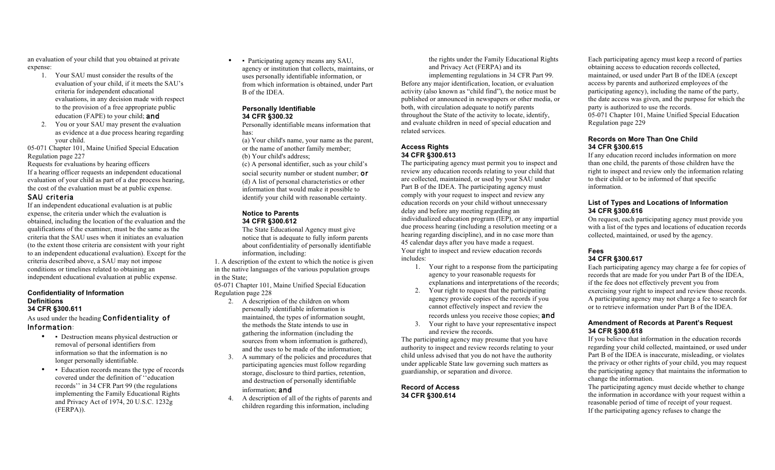an evaluation of your child that you obtained at private expense:

- 1. Your SAU must consider the results of the evaluation of your child, if it meets the SAU's criteria for independent educational evaluations, in any decision made with respect to the provision of a free appropriate public education (FAPE) to your child; and
- 2. You or your SAU may present the evaluation as evidence at a due process hearing regarding your child.

05-071 Chapter 101, Maine Unified Special Education Regulation page 227

Requests for evaluations by hearing officers If a hearing officer requests an independent educational evaluation of your child as part of a due process hearing, the cost of the evaluation must be at public expense.

# SAU criteria

If an independent educational evaluation is at public expense, the criteria under which the evaluation is obtained, including the location of the evaluation and the qualifications of the examiner, must be the same as the criteria that the SAU uses when it initiates an evaluation (to the extent those criteria are consistent with your right to an independent educational evaluation). Except for the criteria described above, a SAU may not impose conditions or timelines related to obtaining an independent educational evaluation at public expense.

#### **Confidentiality of Information Definitions 34 CFR §300.611**

As used under the heading Confidentiality of Information:

- • Destruction means physical destruction or removal of personal identifiers from information so that the information is no longer personally identifiable.
- Education records means the type of records covered under the definition of ''education records'' in 34 CFR Part 99 (the regulations implementing the Family Educational Rights and Privacy Act of 1974, 20 U.S.C. 1232g (FERPA)).

• • Participating agency means any SAU, agency or institution that collects, maintains, or uses personally identifiable information, or from which information is obtained, under Part B of the IDEA.

#### **Personally Identifiable 34 CFR §300.32**

Personally identifiable means information that has:

(a) Your child's name, your name as the parent, or the name of another family member; (b) Your child's address; (c) A personal identifier, such as your child's

social security number or student number; or (d) A list of personal characteristics or other information that would make it possible to identify your child with reasonable certainty.

#### **Notice to Parents 34 CFR §300.612**

The State Educational Agency must give notice that is adequate to fully inform parents about confidentiality of personally identifiable information, including:

1. A description of the extent to which the notice is given in the native languages of the various population groups in the State;

05-071 Chapter 101, Maine Unified Special Education Regulation page 228

- 2. A description of the children on whom personally identifiable information is maintained, the types of information sought, the methods the State intends to use in gathering the information (including the sources from whom information is gathered), and the uses to be made of the information;
- 3. A summary of the policies and procedures that participating agencies must follow regarding storage, disclosure to third parties, retention, and destruction of personally identifiable information: **and**
- 4. A description of all of the rights of parents and children regarding this information, including

the rights under the Family Educational Rights and Privacy Act (FERPA) and its implementing regulations in 34 CFR Part 99. Before any major identification, location, or evaluation activity (also known as "child find"), the notice must be published or announced in newspapers or other media, or both, with circulation adequate to notify parents throughout the State of the activity to locate, identify, and evaluate children in need of special education and related services.

# **Access Rights 34 CFR §300.613**

The participating agency must permit you to inspect and review any education records relating to your child that are collected, maintained, or used by your SAU under Part B of the IDEA. The participating agency must comply with your request to inspect and review any education records on your child without unnecessary delay and before any meeting regarding an individualized education program (IEP), or any impartial due process hearing (including a resolution meeting or a hearing regarding discipline), and in no case more than 45 calendar days after you have made a request. Your right to inspect and review education records includes:

- 1. Your right to a response from the participating agency to your reasonable requests for explanations and interpretations of the records;
- 2. Your right to request that the participating agency provide copies of the records if you cannot effectively inspect and review the records unless you receive those copies; and
- 3. Your right to have your representative inspect and review the records.

The participating agency may presume that you have authority to inspect and review records relating to your child unless advised that you do not have the authority under applicable State law governing such matters as guardianship, or separation and divorce.

**Record of Access 34 CFR §300.614** 

Each participating agency must keep a record of parties obtaining access to education records collected, maintained, or used under Part B of the IDEA (except access by parents and authorized employees of the participating agency), including the name of the party, the date access was given, and the purpose for which the party is authorized to use the records. 05-071 Chapter 101, Maine Unified Special Education Regulation page 229

#### **Records on More Than One Child 34 CFR §300.615**

If any education record includes information on more than one child, the parents of those children have the right to inspect and review only the information relating to their child or to be informed of that specific information.

# **List of Types and Locations of Information 34 CFR §300.616**

On request, each participating agency must provide you with a list of the types and locations of education records collected, maintained, or used by the agency.

# **Fees 34 CFR §300.617**

Each participating agency may charge a fee for copies of records that are made for you under Part B of the IDEA, if the fee does not effectively prevent you from exercising your right to inspect and review those records. A participating agency may not charge a fee to search for or to retrieve information under Part B of the IDEA.

#### **Amendment of Records at Parent's Request 34 CFR §300.618**

If you believe that information in the education records regarding your child collected, maintained, or used under Part B of the IDEA is inaccurate, misleading, or violates the privacy or other rights of your child, you may request the participating agency that maintains the information to change the information.

The participating agency must decide whether to change the information in accordance with your request within a reasonable period of time of receipt of your request. If the participating agency refuses to change the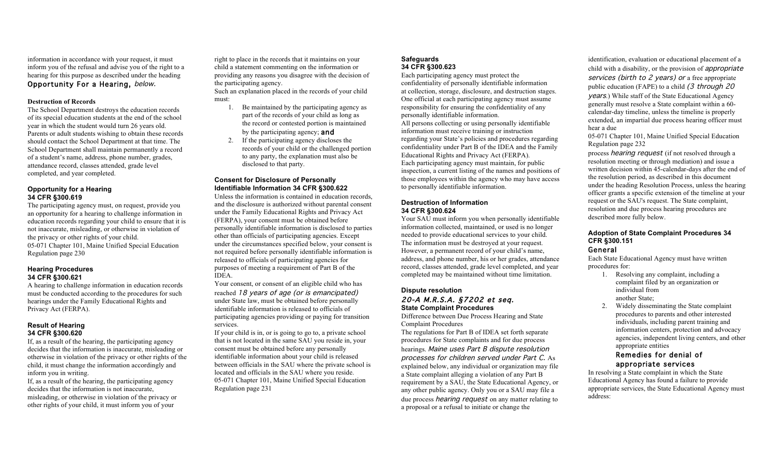information in accordance with your request, it must inform you of the refusal and advise you of the right to a hearing for this purpose as described under the heading Opportunity For a Hearing, below.

#### **Destruction of Records**

The School Department destroys the education records of its special education students at the end of the school year in which the student would turn 26 years old. Parents or adult students wishing to obtain these records should contact the School Department at that time. The School Department shall maintain permanently a record of a student's name, address, phone number, grades, attendance record, classes attended, grade level completed, and year completed.

#### **Opportunity for a Hearing 34 CFR §300.619**

The participating agency must, on request, provide you an opportunity for a hearing to challenge information in education records regarding your child to ensure that it is not inaccurate, misleading, or otherwise in violation of the privacy or other rights of your child. 05-071 Chapter 101, Maine Unified Special Education Regulation page 230

#### **Hearing Procedures 34 CFR §300.621**

A hearing to challenge information in education records must be conducted according to the procedures for such hearings under the Family Educational Rights and Privacy Act (FERPA).

#### **Result of Hearing 34 CFR §300.620**

If, as a result of the hearing, the participating agency decides that the information is inaccurate, misleading or otherwise in violation of the privacy or other rights of the child, it must change the information accordingly and inform you in writing.

If, as a result of the hearing, the participating agency decides that the information is not inaccurate, misleading, or otherwise in violation of the privacy or other rights of your child, it must inform you of your

right to place in the records that it maintains on your child a statement commenting on the information or providing any reasons you disagree with the decision of the participating agency.

Such an explanation placed in the records of your child must:

- 1. Be maintained by the participating agency as part of the records of your child as long as the record or contested portion is maintained by the participating agency; and
- 2. If the participating agency discloses the records of your child or the challenged portion to any party, the explanation must also be disclosed to that party.

#### **Consent for Disclosure of Personally Identifiable Information 34 CFR §300.622**

Unless the information is contained in education records, and the disclosure is authorized without parental consent under the Family Educational Rights and Privacy Act (FERPA), your consent must be obtained before personally identifiable information is disclosed to parties other than officials of participating agencies. Except under the circumstances specified below, your consent is not required before personally identifiable information is released to officials of participating agencies for purposes of meeting a requirement of Part B of the IDEA.

Your consent, or consent of an eligible child who has reached 18 years of age (or is emancipated) under State law, must be obtained before personally identifiable information is released to officials of participating agencies providing or paying for transition services.

If your child is in, or is going to go to, a private school that is not located in the same SAU you reside in, your consent must be obtained before any personally identifiable information about your child is released between officials in the SAU where the private school is located and officials in the SAU where you reside. 05-071 Chapter 101, Maine Unified Special Education Regulation page 231

# **Safeguards 34 CFR §300.623**

Each participating agency must protect the confidentiality of personally identifiable information at collection, storage, disclosure, and destruction stages. One official at each participating agency must assume responsibility for ensuring the confidentiality of any personally identifiable information. All persons collecting or using personally identifiable information must receive training or instruction regarding your State's policies and procedures regarding confidentiality under Part B of the IDEA and the Family Educational Rights and Privacy Act (FERPA). Each participating agency must maintain, for public inspection, a current listing of the names and positions of those employees within the agency who may have access to personally identifiable information.

#### **Destruction of Information 34 CFR §300.624**

Your SAU must inform you when personally identifiable information collected, maintained, or used is no longer needed to provide educational services to your child. The information must be destroyed at your request. However, a permanent record of your child's name, address, and phone number, his or her grades, attendance record, classes attended, grade level completed, and year completed may be maintained without time limitation.

# **Dispute resolution**  20-A M.R.S.A. §7202 et seq. **State Complaint Procedures**

Difference between Due Process Hearing and State Complaint Procedures

The regulations for Part B of IDEA set forth separate procedures for State complaints and for due process hearings. Maine uses Part B dispute resolution processes for children served under Part C. As explained below, any individual or organization may file a State complaint alleging a violation of any Part B requirement by a SAU, the State Educational Agency, or any other public agency. Only you or a SAU may file a due process hearing request on any matter relating to a proposal or a refusal to initiate or change the

identification, evaluation or educational placement of a child with a disability, or the provision of appropriate services (birth to 2 years) or a free appropriate public education (FAPE) to a child  $(3 + hrough 20)$ years.) While staff of the State Educational Agency generally must resolve a State complaint within a 60 calendar-day timeline, unless the timeline is properly extended, an impartial due process hearing officer must hear a due

05-071 Chapter 101, Maine Unified Special Education Regulation page 232

process hearing request (if not resolved through a resolution meeting or through mediation) and issue a written decision within 45-calendar-days after the end of the resolution period, as described in this document under the heading Resolution Process, unless the hearing officer grants a specific extension of the timeline at your request or the SAU's request. The State complaint, resolution and due process hearing procedures are described more fully below.

# **Adoption of State Complaint Procedures 34 CFR §300.151**

# General

Each State Educational Agency must have written procedures for:

- 1. Resolving any complaint, including a complaint filed by an organization or individual from another State;
- 2. Widely disseminating the State complaint procedures to parents and other interested individuals, including parent training and information centers, protection and advocacy agencies, independent living centers, and other appropriate entities

# Remedies for denial of appropriate services

In resolving a State complaint in which the State Educational Agency has found a failure to provide appropriate services, the State Educational Agency must address: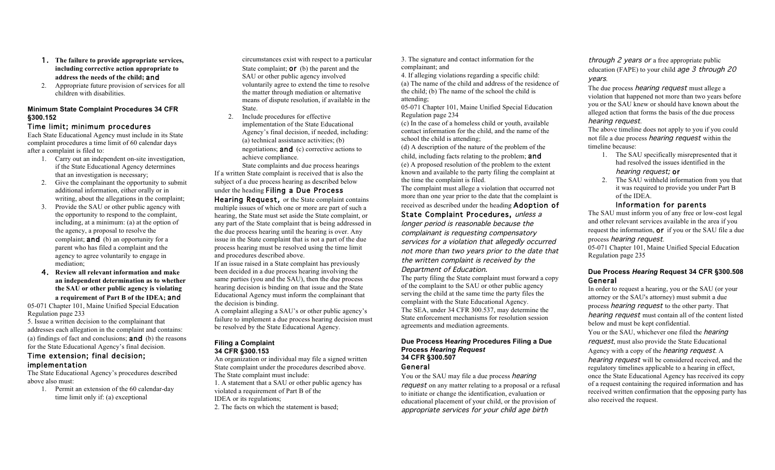- 1. **The failure to provide appropriate services, including corrective action appropriate to address the needs of the child;** and
- 2. Appropriate future provision of services for all children with disabilities.

#### **Minimum State Complaint Procedures 34 CFR §300.152**

## Time limit; minimum procedures

Each State Educational Agency must include in its State complaint procedures a time limit of 60 calendar days after a complaint is filed to:

- 1. Carry out an independent on-site investigation, if the State Educational Agency determines that an investigation is necessary;
- 2. Give the complainant the opportunity to submit additional information, either orally or in writing, about the allegations in the complaint;
- 3. Provide the SAU or other public agency with the opportunity to respond to the complaint, including, at a minimum: (a) at the option of the agency, a proposal to resolve the complaint; **and** (b) an opportunity for a parent who has filed a complaint and the agency to agree voluntarily to engage in mediation;
- 4. **Review all relevant information and make an independent determination as to whether the SAU or other public agency is violating a requirement of Part B of the IDEA;** and

05-071 Chapter 101, Maine Unified Special Education Regulation page 233

5. Issue a written decision to the complainant that addresses each allegation in the complaint and contains: (a) findings of fact and conclusions; **and** (b) the reasons for the State Educational Agency's final decision.

# Time extension; final decision; implementation

The State Educational Agency's procedures described above also must:

1. Permit an extension of the 60 calendar-day time limit only if: (a) exceptional

circumstances exist with respect to a particular State complaint; **or** (b) the parent and the SAU or other public agency involved voluntarily agree to extend the time to resolve the matter through mediation or alternative means of dispute resolution, if available in the State.

2. Include procedures for effective implementation of the State Educational Agency's final decision, if needed, including: (a) technical assistance activities; (b) negotiations; and (c) corrective actions to achieve compliance.

State complaints and due process hearings If a written State complaint is received that is also the subject of a due process hearing as described below under the heading Filing a Due Process Hearing Request, or the State complaint contains multiple issues of which one or more are part of such a hearing, the State must set aside the State complaint, or any part of the State complaint that is being addressed in the due process hearing until the hearing is over. Any issue in the State complaint that is not a part of the due process hearing must be resolved using the time limit and procedures described above.

If an issue raised in a State complaint has previously been decided in a due process hearing involving the same parties (you and the SAU), then the due process hearing decision is binding on that issue and the State Educational Agency must inform the complainant that the decision is binding.

A complaint alleging a SAU's or other public agency's failure to implement a due process hearing decision must be resolved by the State Educational Agency.

#### **Filing a Complaint 34 CFR §300.153**

An organization or individual may file a signed written State complaint under the procedures described above. The State complaint must include: 1. A statement that a SAU or other public agency has violated a requirement of Part B of the IDEA or its regulations; 2. The facts on which the statement is based;

3. The signature and contact information for the complainant; and

4. If alleging violations regarding a specific child: (a) The name of the child and address of the residence of the child; (b) The name of the school the child is attending;

05-071 Chapter 101, Maine Unified Special Education Regulation page 234

(c) In the case of a homeless child or youth, available contact information for the child, and the name of the school the child is attending;

(d) A description of the nature of the problem of the child, including facts relating to the problem; and (e) A proposed resolution of the problem to the extent known and available to the party filing the complaint at the time the complaint is filed.

The complaint must allege a violation that occurred not more than one year prior to the date that the complaint is received as described under the heading Adoption of

State Complaint Procedures, unless a longer period is reasonable because the complainant is requesting compensatory services for a violation that allegedly occurred not more than two years prior to the date that the written complaint is received by the Department of Education.

The party filing the State complaint must forward a copy of the complaint to the SAU or other public agency serving the child at the same time the party files the complaint with the State Educational Agency. The SEA, under 34 CFR 300.537, may determine the State enforcement mechanisms for resolution session agreements and mediation agreements.

#### **Due Process H***earing* **Procedures Filing a Due Process** *Hearing Request*  **34 CFR §300.507**

# General

You or the SAU may file a due process *hearing* request on any matter relating to a proposal or a refusal to initiate or change the identification, evaluation or educational placement of your child, or the provision of appropriate services for your child age birth

through 2 years or a free appropriate public education (FAPE) to your child age 3 through 20 years.

The due process *hearing request* must allege a violation that happened not more than two years before you or the SAU knew or should have known about the alleged action that forms the basis of the due process hearing request.

The above timeline does not apply to you if you could not file a due process hearing request within the timeline because:

- 1. The SAU specifically misrepresented that it had resolved the issues identified in the hearing request; or
- 2. The SAU withheld information from you that it was required to provide you under Part B of the IDEA.

## Information for parents

The SAU must inform you of any free or low-cost legal and other relevant services available in the area if you request the information, or if you or the SAU file a due process hearing request. 05-071 Chapter 101, Maine Unified Special Education

Regulation page 235

# **Due Process** *Hearing* **Request 34 CFR §300.508**  General

In order to request a hearing, you or the SAU (or your attorney or the SAU's attorney) must submit a due process hearing request to the other party. That hearing request must contain all of the content listed below and must be kept confidential. You or the SAU, whichever one filed the *hearing* request, must also provide the State Educational Agency with a copy of the *hearing request*. A hearing request will be considered received, and the regulatory timelines applicable to a hearing in effect, once the State Educational Agency has received its copy of a request containing the required information and has received written confirmation that the opposing party has also received the request.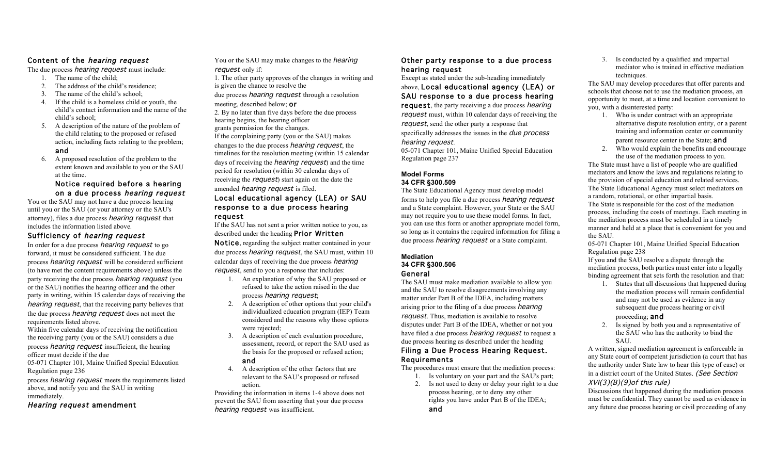# Content of the hearing request

The due process *hearing request* must include:

- 1. The name of the child;
- 2. The address of the child's residence;
- 3. The name of the child's school;
- 4. If the child is a homeless child or youth, the child's contact information and the name of the child's school;
- 5. A description of the nature of the problem of the child relating to the proposed or refused action, including facts relating to the problem; and
- 6. A proposed resolution of the problem to the extent known and available to you or the SAU at the time.

# Notice required before a hearing on a due process hearing request

You or the SAU may not have a due process hearing until you or the SAU (or your attorney or the SAU's attorney), files a due process hearing request that includes the information listed above.

# Sufficiency of hearing request

In order for a due process *hearing request* to go forward, it must be considered sufficient. The due process hearing request will be considered sufficient (to have met the content requirements above) unless the party receiving the due process hearing request (you or the SAU) notifies the hearing officer and the other party in writing, within 15 calendar days of receiving the hearing request, that the receiving party believes that the due process hearing request does not meet the requirements listed above.

Within five calendar days of receiving the notification the receiving party (you or the SAU) considers a due process hearing request insufficient, the hearing officer must decide if the due

05-071 Chapter 101, Maine Unified Special Education Regulation page 236

process hearing request meets the requirements listed above, and notify you and the SAU in writing immediately.

# Hearing request amendment

You or the SAU may make changes to the *hearing* request only if:

- 1. The other party approves of the changes in writing and is given the chance to resolve the
- due process *hearing request* through a resolution meeting, described below; or
- 2. By no later than five days before the due process hearing begins, the hearing officer

grants permission for the changes. If the complaining party (you or the SAU) makes changes to the due process hearing request, the timelines for the resolution meeting (within 15 calendar days of receiving the *hearing request*) and the time period for resolution (within 30 calendar days of

receiving the *request*) start again on the date the amended hearing request is filed.

## Local educational agency (LEA) or SAU response to a due process hearing request

If the SAU has not sent a prior written notice to you, as described under the heading Prior Written Notice, regarding the subject matter contained in your due process *hearing request*, the SAU must, within 10

calendar days of receiving the due process hearing request, send to you a response that includes:

- 1. An explanation of why the SAU proposed or refused to take the action raised in the due process *hearing request*;
- 2. A description of other options that your child's individualized education program (IEP) Team considered and the reasons why those options were rejected:
- 3. A description of each evaluation procedure, assessment, record, or report the SAU used as the basis for the proposed or refused action; and
- 4. A description of the other factors that are relevant to the SAU's proposed or refused action.

Providing the information in items 1-4 above does not prevent the SAU from asserting that your due process hearing request was insufficient.

# Other party response to a due process hearing request

Except as stated under the sub-heading immediately above, Local educational agency (LEA) or SAU response to a due process hearing **request**, the party receiving a due process *hearing* request must, within 10 calendar days of receiving the request, send the other party a response that specifically addresses the issues in the *due process* hearing request.

05-071 Chapter 101, Maine Unified Special Education Regulation page 237

# **Model Forms 34 CFR §300.509**

The State Educational Agency must develop model forms to help you file a due process hearing request and a State complaint. However, your State or the SAU may not require you to use these model forms. In fact, you can use this form or another appropriate model form, so long as it contains the required information for filing a due process *hearing request* or a State complaint.

#### **Mediation 34 CFR §300.506**  General

The SAU must make mediation available to allow you and the SAU to resolve disagreements involving any matter under Part B of the IDEA, including matters arising prior to the filing of a due process hearing request. Thus, mediation is available to resolve disputes under Part B of the IDEA, whether or not you have filed a due process *hearing request* to request a due process hearing as described under the heading

# Filing a Due Process Hearing Request. **Requirements**

The procedures must ensure that the mediation process:

1. Is voluntary on your part and the SAU's part; 2. Is not used to deny or delay your right to a due process hearing, or to deny any other rights you have under Part B of the IDEA;

3. Is conducted by a qualified and impartial mediator who is trained in effective mediation techniques.

The SAU may develop procedures that offer parents and schools that choose not to use the mediation process, an opportunity to meet, at a time and location convenient to you, with a disinterested party:

- 1. Who is under contract with an appropriate alternative dispute resolution entity, or a parent training and information center or community parent resource center in the State; and
- 2. Who would explain the benefits and encourage the use of the mediation process to you.

The State must have a list of people who are qualified mediators and know the laws and regulations relating to the provision of special education and related services. The State Educational Agency must select mediators on a random, rotational, or other impartial basis. The State is responsible for the cost of the mediation process, including the costs of meetings. Each meeting in the mediation process must be scheduled in a timely manner and held at a place that is convenient for you and the SAU.

05-071 Chapter 101, Maine Unified Special Education Regulation page 238

If you and the SAU resolve a dispute through the mediation process, both parties must enter into a legally binding agreement that sets forth the resolution and that:

1. States that all discussions that happened during the mediation process will remain confidential and may not be used as evidence in any subsequent due process hearing or civil

# proceeding; and

2. Is signed by both you and a representative of the SAU who has the authority to bind the SAU.

A written, signed mediation agreement is enforceable in any State court of competent jurisdiction (a court that has the authority under State law to hear this type of case) or in a district court of the United States. (See Section  $XVI(3)(B)(9)$ of this rule)

Discussions that happened during the mediation process must be confidential. They cannot be used as evidence in any future due process hearing or civil proceeding of any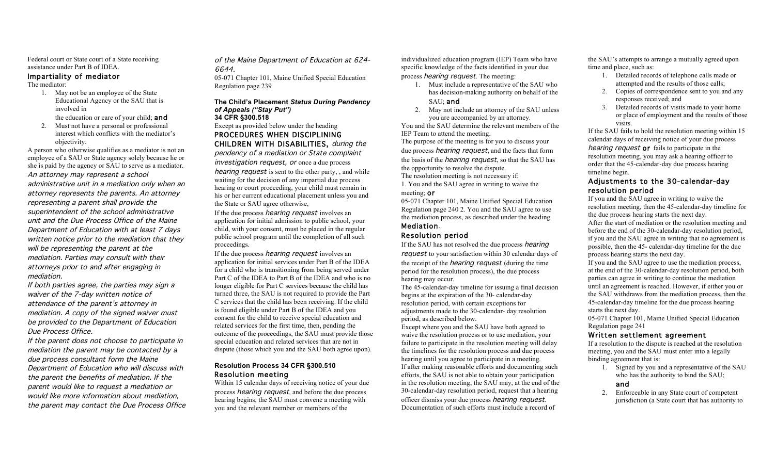Federal court or State court of a State receiving assistance under Part B of IDEA.

#### Impartiality of mediator

The mediator:

1. May not be an employee of the State Educational Agency or the SAU that is involved in

the education or care of your child; and

2. Must not have a personal or professional interest which conflicts with the mediator's objectivity.

A person who otherwise qualifies as a mediator is not an employee of a SAU or State agency solely because he or she is paid by the agency or SAU to serve as a mediator. An attorney may represent a school administrative unit in a mediation only when an attorney represents the parents. An attorney representing a parent shall provide the superintendent of the school administrative unit and the Due Process Office of the Maine Department of Education with at least 7 days written notice prior to the mediation that they will be representing the parent at the mediation. Parties may consult with their attorneys prior to and after engaging in mediation.

If both parties agree, the parties may sign a waiver of the 7-day written notice of attendance of the parent's attorney in mediation. A copy of the signed waiver must be provided to the Department of Education Due Process Office.

If the parent does not choose to participate in mediation the parent may be contacted by a due process consultant form the Maine Department of Education who will discuss with the parent the benefits of mediation. If the parent would like to request a mediation or would like more information about mediation, the parent may contact the Due Process Office of the Maine Department of Education at 624- 6644.

05-071 Chapter 101, Maine Unified Special Education Regulation page 239

#### **The Child's Placement** *Status During Pendency of Appeals ("Stay Put")*  **34 CFR §300.518**

# Except as provided below under the heading PROCEDURES WHEN DISCIPLINING

CHILDREN WITH DISABILITIES, during the pendency of a mediation or State complaint investigation request, or once a due process hearing request is sent to the other party, , and while waiting for the decision of any impartial due process hearing or court proceeding, your child must remain in his or her current educational placement unless you and the State or SAU agree otherwise,

If the due process *hearing request* involves an application for initial admission to public school, your child, with your consent, must be placed in the regular public school program until the completion of all such proceedings.

If the due process *hearing request* involves an application for initial services under Part B of the IDEA for a child who is transitioning from being served under Part C of the IDEA to Part B of the IDEA and who is no longer eligible for Part C services because the child has turned three, the SAU is not required to provide the Part C services that the child has been receiving. If the child is found eligible under Part B of the IDEA and you consent for the child to receive special education and related services for the first time, then, pending the outcome of the proceedings, the SAU must provide those special education and related services that are not in dispute (those which you and the SAU both agree upon).

## **Resolution Process 34 CFR §300.510**  Resolution meeting

Within 15 calendar days of receiving notice of your due process hearing request, and before the due process hearing begins, the SAU must convene a meeting with you and the relevant member or members of the

individualized education program (IEP) Team who have specific knowledge of the facts identified in your due process hearing request. The meeting:

- 1. Must include a representative of the SAU who has decision-making authority on behalf of the SAU; and
- 2. May not include an attorney of the SAU unless you are accompanied by an attorney.

You and the SAU determine the relevant members of the IEP Team to attend the meeting.

The purpose of the meeting is for you to discuss your due process *hearing request*, and the facts that form the basis of the hearing request, so that the SAU has the opportunity to resolve the dispute. The resolution meeting is not necessary if:

1. You and the SAU agree in writing to waive the meeting; or

05-071 Chapter 101, Maine Unified Special Education Regulation page 240 2. You and the SAU agree to use the mediation process, as described under the heading Mediation.

# Resolution period

If the SAU has not resolved the due process *hearing* request to your satisfaction within 30 calendar days of the receipt of the hearing request (during the time period for the resolution process), the due process hearing may occur.

The 45-calendar-day timeline for issuing a final decision begins at the expiration of the 30- calendar-day resolution period, with certain exceptions for adjustments made to the 30-calendar- day resolution period, as described below.

Except where you and the SAU have both agreed to waive the resolution process or to use mediation, your failure to participate in the resolution meeting will delay the timelines for the resolution process and due process hearing until you agree to participate in a meeting. If after making reasonable efforts and documenting such efforts, the SAU is not able to obtain your participation in the resolution meeting, the SAU may, at the end of the 30-calendar-day resolution period, request that a hearing officer dismiss your due process hearing request. Documentation of such efforts must include a record of

the SAU's attempts to arrange a mutually agreed upon time and place, such as:

- 1. Detailed records of telephone calls made or attempted and the results of those calls;
- 2. Copies of correspondence sent to you and any responses received; and
- 3. Detailed records of visits made to your home or place of employment and the results of those visits.

If the SAU fails to hold the resolution meeting within 15 calendar days of receiving notice of your due process hearing request **or** fails to participate in the resolution meeting, you may ask a hearing officer to order that the 45-calendar-day due process hearing timeline begin.

# Adjustments to the 30-calendar-day resolution period

If you and the SAU agree in writing to waive the resolution meeting, then the 45-calendar-day timeline for the due process hearing starts the next day. After the start of mediation or the resolution meeting and before the end of the 30-calendar-day resolution period, if you and the SAU agree in writing that no agreement is possible, then the 45- calendar-day timeline for the due

process hearing starts the next day. If you and the SAU agree to use the mediation process, at the end of the 30-calendar-day resolution period, both parties can agree in writing to continue the mediation until an agreement is reached. However, if either you or the SAU withdraws from the mediation process, then the 45-calendar-day timeline for the due process hearing

starts the next day. 05-071 Chapter 101, Maine Unified Special Education Regulation page 241

# Written settlement agreement

If a resolution to the dispute is reached at the resolution meeting, you and the SAU must enter into a legally binding agreement that is:

1. Signed by you and a representative of the SAU who has the authority to bind the SAU;

# and

2. Enforceable in any State court of competent jurisdiction (a State court that has authority to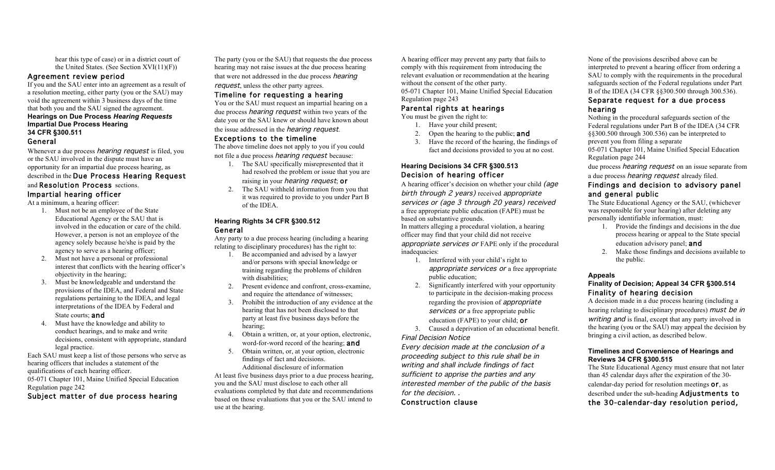hear this type of case) or in a district court of the United States. (See Section XVI(11)(F))

#### Agreement review period

If you and the SAU enter into an agreement as a result of a resolution meeting, either party (you or the SAU) may void the agreement within 3 business days of the time that both you and the SAU signed the agreement. **Hearings on Due Process** *Hearing Requests*  **Impartial Due Process Hearing** 

# **34 CFR §300.511**

# General

Whenever a due process *hearing request* is filed, you or the SAU involved in the dispute must have an opportunity for an impartial due process hearing, as described in the Due Process Hearing Request

# and Resolution Process sections. Impartial hearing officer

At a minimum, a hearing officer:

- 1. Must not be an employee of the State Educational Agency or the SAU that is involved in the education or care of the child. However, a person is not an employee of the agency solely because he/she is paid by the agency to serve as a hearing officer;
- 2. Must not have a personal or professional interest that conflicts with the hearing officer's objectivity in the hearing;
- 3. Must be knowledgeable and understand the provisions of the IDEA, and Federal and State regulations pertaining to the IDEA, and legal interpretations of the IDEA by Federal and State courts; and
- 4. Must have the knowledge and ability to conduct hearings, and to make and write decisions, consistent with appropriate, standard legal practice.

Each SAU must keep a list of those persons who serve as hearing officers that includes a statement of the qualifications of each hearing officer. 05-071 Chapter 101, Maine Unified Special Education Regulation page 242

## Subject matter of due process hearing

The party (you or the SAU) that requests the due process hearing may not raise issues at the due process hearing that were not addressed in the due process *hearing* request, unless the other party agrees.

#### Timeline for requesting a hearing

You or the SAU must request an impartial hearing on a due process *hearing request* within two years of the date you or the SAU knew or should have known about the issue addressed in the *hearing request*.

#### Exceptions to the timeline

The above timeline does not apply to you if you could not file a due process hearing request because:

- 1. The SAU specifically misrepresented that it had resolved the problem or issue that you are raising in your *hearing request*; or
- 2. The SAU withheld information from you that it was required to provide to you under Part B of the IDEA.

#### **Hearing Rights 34 CFR §300.512**  General

Any party to a due process hearing (including a hearing relating to disciplinary procedures) has the right to:

- 1. Be accompanied and advised by a lawyer and/or persons with special knowledge or training regarding the problems of children with disabilities;
- 2. Present evidence and confront, cross-examine, and require the attendance of witnesses:
- 3. Prohibit the introduction of any evidence at the hearing that has not been disclosed to that party at least five business days before the hearing;
- 4. Obtain a written, or, at your option, electronic, word-for-word record of the hearing; and
- 5. Obtain written, or, at your option, electronic findings of fact and decisions. Additional disclosure of information

At least five business days prior to a due process hearing, you and the SAU must disclose to each other all evaluations completed by that date and recommendations based on those evaluations that you or the SAU intend to use at the hearing.

A hearing officer may prevent any party that fails to comply with this requirement from introducing the relevant evaluation or recommendation at the hearing without the consent of the other party.

05-071 Chapter 101, Maine Unified Special Education Regulation page 243

# Parental rights at hearings

You must be given the right to:

- 1. Have your child present;
- 2. Open the hearing to the public; and
- 3. Have the record of the hearing, the findings of fact and decisions provided to you at no cost.

# **Hearing Decisions 34 CFR §300.513**  Decision of hearing officer

A hearing officer's decision on whether your child (age birth through 2 years) received appropriate services or (age 3 through 20 years) received a free appropriate public education (FAPE) must be based on substantive grounds.

In matters alleging a procedural violation, a hearing officer may find that your child did not receive appropriate services or FAPE only if the procedural inadequacies:

- 1. Interfered with your child's right to appropriate services or a free appropriate public education;
- 2. Significantly interfered with your opportunity to participate in the decision-making process regarding the provision of *appropriate* services or a free appropriate public education (FAPE) to your child; or
- 3. Caused a deprivation of an educational benefit. Final Decision Notice

Every decision made at the conclusion of a proceeding subject to this rule shall be in writing and shall include findings of fact sufficient to apprise the parties and any interested member of the public of the basis for the decision. .

# Construction clause

None of the provisions described above can be interpreted to prevent a hearing officer from ordering a SAU to comply with the requirements in the procedural safeguards section of the Federal regulations under Part B of the IDEA (34 CFR §§300.500 through 300.536).

# Separate request for a due process hearing

Nothing in the procedural safeguards section of the Federal regulations under Part B of the IDEA (34 CFR §§300.500 through 300.536) can be interpreted to prevent you from filing a separate 05-071 Chapter 101, Maine Unified Special Education

Regulation page 244 due process *hearing request* on an issue separate from

# a due process hearing request already filed.

# Findings and decision to advisory panel and general public

The State Educational Agency or the SAU, (whichever was responsible for your hearing) after deleting any personally identifiable information, must:

- 1. Provide the findings and decisions in the due process hearing or appeal to the State special education advisory panel; and
- 2. Make those findings and decisions available to the public.

# **Appeals**

# **Finality of Decision; Appeal 34 CFR §300.514**  Finality of hearing decision

A decision made in a due process hearing (including a hearing relating to disciplinary procedures) must be in writing and is final, except that any party involved in the hearing (you or the SAU) may appeal the decision by bringing a civil action, as described below.

#### **Timelines and Convenience of Hearings and Reviews 34 CFR §300.515**

The State Educational Agency must ensure that not later than 45 calendar days after the expiration of the 30 calendar-day period for resolution meetings or, as described under the sub-heading Adjustments to the 30-calendar-day resolution period,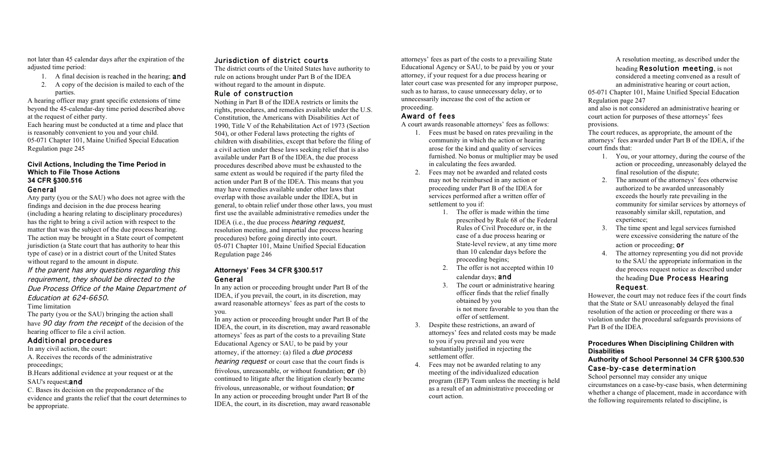not later than 45 calendar days after the expiration of the adjusted time period:

- 1. A final decision is reached in the hearing; and 2. A copy of the decision is mailed to each of the
- parties.

A hearing officer may grant specific extensions of time beyond the 45-calendar-day time period described above at the request of either party.

Each hearing must be conducted at a time and place that is reasonably convenient to you and your child. 05-071 Chapter 101, Maine Unified Special Education Regulation page 245

# **Civil Actions, Including the Time Period in Which to File Those Actions 34 CFR §300.516**

#### General

Any party (you or the SAU) who does not agree with the findings and decision in the due process hearing (including a hearing relating to disciplinary procedures) has the right to bring a civil action with respect to the matter that was the subject of the due process hearing. The action may be brought in a State court of competent jurisdiction (a State court that has authority to hear this type of case) or in a district court of the United States without regard to the amount in dispute.

If the parent has any questions regarding this requirement, they should be directed to the Due Process Office of the Maine Department of Education at 624-6650.

#### Time limitation

The party (you or the SAU) bringing the action shall have 90 day from the receipt of the decision of the hearing officer to file a civil action.

#### Additional procedures

- In any civil action, the court:
- A. Receives the records of the administrative proceedings;
- B.Hears additional evidence at your request or at the SAU's request: and

C. Bases its decision on the preponderance of the evidence and grants the relief that the court determines to be appropriate.

#### Jurisdiction of district courts

The district courts of the United States have authority to rule on actions brought under Part B of the IDEA without regard to the amount in dispute.

#### Rule of construction

Nothing in Part B of the IDEA restricts or limits the rights, procedures, and remedies available under the U.S. Constitution, the Americans with Disabilities Act of 1990, Title V of the Rehabilitation Act of 1973 (Section 504), or other Federal laws protecting the rights of children with disabilities, except that before the filing of a civil action under these laws seeking relief that is also available under Part B of the IDEA, the due process procedures described above must be exhausted to the same extent as would be required if the party filed the action under Part B of the IDEA. This means that you may have remedies available under other laws that overlap with those available under the IDEA, but in general, to obtain relief under those other laws, you must first use the available administrative remedies under the IDEA (i.e., the due process hearing request, resolution meeting, and impartial due process hearing procedures) before going directly into court. 05-071 Chapter 101, Maine Unified Special Education Regulation page 246

## **Attorneys' Fees 34 CFR §300.517**  General

In any action or proceeding brought under Part B of the IDEA, if you prevail, the court, in its discretion, may award reasonable attorneys' fees as part of the costs to you.

In any action or proceeding brought under Part B of the IDEA, the court, in its discretion, may award reasonable attorneys' fees as part of the costs to a prevailing State Educational Agency or SAU, to be paid by your attorney, if the attorney: (a) filed a due process hearing request or court case that the court finds is frivolous, unreasonable, or without foundation; or (b) continued to litigate after the litigation clearly became frivolous, unreasonable, or without foundation; or In any action or proceeding brought under Part B of the IDEA, the court, in its discretion, may award reasonable attorneys' fees as part of the costs to a prevailing State Educational Agency or SAU, to be paid by you or your attorney, if your request for a due process hearing or later court case was presented for any improper purpose, such as to harass, to cause unnecessary delay, or to unnecessarily increase the cost of the action or proceeding.

# Award of fees

A court awards reasonable attorneys' fees as follows:

- 1. Fees must be based on rates prevailing in the community in which the action or hearing arose for the kind and quality of services furnished. No bonus or multiplier may be used in calculating the fees awarded.
- 2. Fees may not be awarded and related costs may not be reimbursed in any action or proceeding under Part B of the IDEA for services performed after a written offer of settlement to you if:
	- 1. The offer is made within the time prescribed by Rule 68 of the Federal Rules of Civil Procedure or, in the case of a due process hearing or State-level review, at any time more than 10 calendar days before the proceeding begins;
	- 2. The offer is not accepted within 10 calendar days: **and**
	- 3. The court or administrative hearing officer finds that the relief finally obtained by you is not more favorable to you than the offer of settlement.
- 3. Despite these restrictions, an award of attorneys' fees and related costs may be made to you if you prevail and you were substantially justified in rejecting the settlement offer.
- 4. Fees may not be awarded relating to any meeting of the individualized education program (IEP) Team unless the meeting is held as a result of an administrative proceeding or court action.

A resolution meeting, as described under the heading Resolution meeting, is not considered a meeting convened as a result of an administrative hearing or court action,

05-071 Chapter 101, Maine Unified Special Education Regulation page 247

and also is not considered an administrative hearing or court action for purposes of these attorneys' fees provisions.

The court reduces, as appropriate, the amount of the attorneys' fees awarded under Part B of the IDEA, if the court finds that:

- 1. You, or your attorney, during the course of the action or proceeding, unreasonably delayed the final resolution of the dispute;
- 2. The amount of the attorneys' fees otherwise authorized to be awarded unreasonably exceeds the hourly rate prevailing in the community for similar services by attorneys of reasonably similar skill, reputation, and experience;
- 3. The time spent and legal services furnished were excessive considering the nature of the action or proceeding; or
- 4. The attorney representing you did not provide to the SAU the appropriate information in the due process request notice as described under the heading Due Process Hearing Request.

However, the court may not reduce fees if the court finds that the State or SAU unreasonably delayed the final resolution of the action or proceeding or there was a violation under the procedural safeguards provisions of Part B of the IDEA.

# **Procedures When Disciplining Children with Disabilities**

# **Authority of School Personnel 34 CFR §300.530**  Case-by-case determination

School personnel may consider any unique circumstances on a case-by-case basis, when determining whether a change of placement, made in accordance with the following requirements related to discipline, is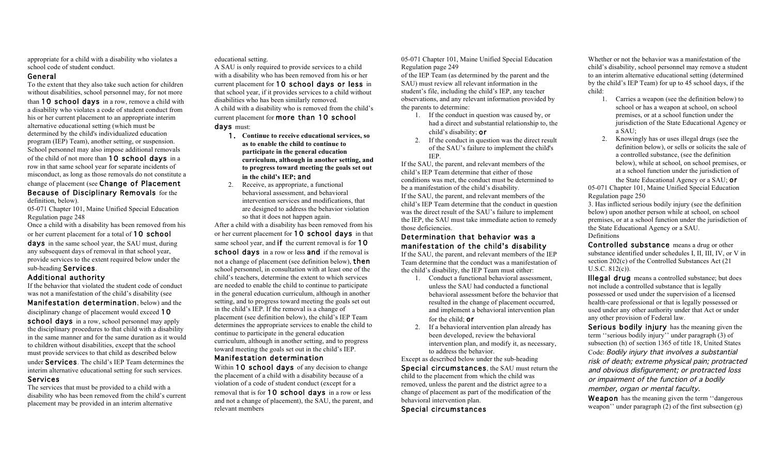appropriate for a child with a disability who violates a school code of student conduct.

#### General

To the extent that they also take such action for children without disabilities, school personnel may, for not more than 10 school days in a row, remove a child with a disability who violates a code of student conduct from his or her current placement to an appropriate interim alternative educational setting (which must be determined by the child's individualized education program (IEP) Team), another setting, or suspension. School personnel may also impose additional removals of the child of not more than 10 school days in a row in that same school year for separate incidents of misconduct, as long as those removals do not constitute a change of placement (see Change of Placement Because of Disciplinary Removals for the definition, below).

05-071 Chapter 101, Maine Unified Special Education Regulation page 248

Once a child with a disability has been removed from his or her current placement for a total of 10 school

days in the same school year, the SAU must, during any subsequent days of removal in that school year, provide services to the extent required below under the

#### sub-heading Services. Additional authority

If the behavior that violated the student code of conduct was not a manifestation of the child's disability (see

Manifestation determination, below) and the disciplinary change of placement would exceed 10 school days in a row, school personnel may apply the disciplinary procedures to that child with a disability in the same manner and for the same duration as it would to children without disabilities, except that the school must provide services to that child as described below under Services. The child's IEP Team determines the interim alternative educational setting for such services. Services

The services that must be provided to a child with a disability who has been removed from the child's current placement may be provided in an interim alternative

educational setting.

A SAU is only required to provide services to a child with a disability who has been removed from his or her current placement for 10 school days or less in that school year, if it provides services to a child without disabilities who has been similarly removed. A child with a disability who is removed from the child's current placement for more than 10 school

#### days must:

- 1. **Continue to receive educational services, so as to enable the child to continue to participate in the general education curriculum, although in another setting, and to progress toward meeting the goals set out in the child's IEP;** and
- 2. Receive, as appropriate, a functional behavioral assessment, and behavioral intervention services and modifications, that are designed to address the behavior violation so that it does not happen again.

After a child with a disability has been removed from his or her current placement for 10 school days in that same school year, and if the current removal is for 10 school days in a row or less and if the removal is not a change of placement (see definition below), then school personnel, in consultation with at least one of the child's teachers, determine the extent to which services are needed to enable the child to continue to participate in the general education curriculum, although in another setting, and to progress toward meeting the goals set out in the child's IEP. If the removal is a change of placement (see definition below), the child's IEP Team determines the appropriate services to enable the child to continue to participate in the general education curriculum, although in another setting, and to progress toward meeting the goals set out in the child's IEP.

# Manifestation determination

Within 10 school days of any decision to change the placement of a child with a disability because of a violation of a code of student conduct (except for a removal that is for 10 school days in a row or less and not a change of placement), the SAU, the parent, and relevant members

05-071 Chapter 101, Maine Unified Special Education Regulation page 249

of the IEP Team (as determined by the parent and the SAU) must review all relevant information in the student's file, including the child's IEP, any teacher observations, and any relevant information provided by the parents to determine:

- 1. If the conduct in question was caused by, or had a direct and substantial relationship to, the child's disability; or
- 2. If the conduct in question was the direct result of the SAU's failure to implement the child's IEP.

If the SAU, the parent, and relevant members of the child's IEP Team determine that either of those conditions was met, the conduct must be determined to be a manifestation of the child's disability. If the SAU, the parent, and relevant members of the child's IEP Team determine that the conduct in question was the direct result of the SAU's failure to implement the IEP, the SAU must take immediate action to remedy those deficiencies.

# Determination that behavior was a manifestation of the child's disability

If the SAU, the parent, and relevant members of the IEP Team determine that the conduct was a manifestation of the child's disability, the IEP Team must either:

- 1. Conduct a functional behavioral assessment, unless the SAU had conducted a functional behavioral assessment before the behavior that resulted in the change of placement occurred, and implement a behavioral intervention plan for the child; or
- 2. If a behavioral intervention plan already has been developed, review the behavioral intervention plan, and modify it, as necessary, to address the behavior.

Except as described below under the sub-heading Special circumstances, the SAU must return the child to the placement from which the child was removed, unless the parent and the district agree to a change of placement as part of the modification of the behavioral intervention plan.

Special circumstances

Whether or not the behavior was a manifestation of the child's disability, school personnel may remove a student to an interim alternative educational setting (determined by the child's IEP Team) for up to 45 school days, if the child:

- 1. Carries a weapon (see the definition below) to school or has a weapon at school, on school premises, or at a school function under the jurisdiction of the State Educational Agency or a SAU;
- 2. Knowingly has or uses illegal drugs (see the definition below), or sells or solicits the sale of a controlled substance, (see the definition below), while at school, on school premises, or at a school function under the jurisdiction of the State Educational Agency or a SAU; or

05-071 Chapter 101, Maine Unified Special Education Regulation page 250

3. Has inflicted serious bodily injury (see the definition below) upon another person while at school, on school premises, or at a school function under the jurisdiction of the State Educational Agency or a SAU. Definitions

Controlled substance means a drug or other substance identified under schedules I, II, III, IV, or V in section 202(c) of the Controlled Substances Act (21 U.S.C. 812(c)).

Illegal drug means a controlled substance; but does not include a controlled substance that is legally possessed or used under the supervision of a licensed health-care professional or that is legally possessed or used under any other authority under that Act or under any other provision of Federal law.

Serious bodily injury has the meaning given the term ''serious bodily injury'' under paragraph (3) of subsection (h) of section 1365 of title 18, United States Code: Bodily injury that involves a substantial risk of death; extreme physical pain; protracted and obvious disfigurement; or protracted loss or impairment of the function of a bodily member, organ or mental faculty.

Weapon has the meaning given the term "dangerous" weapon'' under paragraph (2) of the first subsection (g)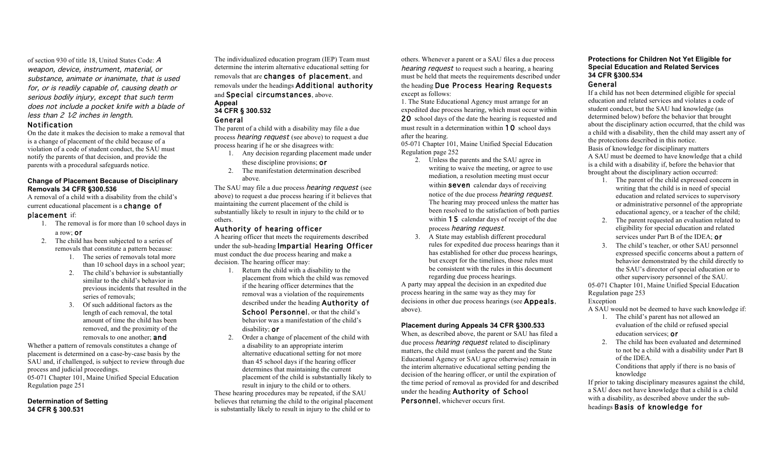of section 930 of title 18, United States Code: A weapon, device, instrument, material, or substance, animate or inanimate, that is used for, or is readily capable of, causing death or serious bodily injury, except that such term does not include a pocket knife with a blade of less than  $2 \nvert \sqrt{2}$  inches in length.

#### Notification

On the date it makes the decision to make a removal that is a change of placement of the child because of a violation of a code of student conduct, the SAU must notify the parents of that decision, and provide the parents with a procedural safeguards notice.

#### **Change of Placement Because of Disciplinary Removals 34 CFR §300.536**

A removal of a child with a disability from the child's current educational placement is a change of

# placement if:

- 1. The removal is for more than 10 school days in a row; or
- 2. The child has been subjected to a series of removals that constitute a pattern because:
	- 1. The series of removals total more than 10 school days in a school year;
	- 2. The child's behavior is substantially similar to the child's behavior in previous incidents that resulted in the series of removals:
	- 3. Of such additional factors as the length of each removal, the total amount of time the child has been removed, and the proximity of the removals to one another: **and**

Whether a pattern of removals constitutes a change of placement is determined on a case-by-case basis by the SAU and, if challenged, is subject to review through due process and judicial proceedings. 05-071 Chapter 101, Maine Unified Special Education Regulation page 251

#### **Determination of Setting 34 CFR § 300.531**

The individualized education program (IEP) Team must determine the interim alternative educational setting for removals that are changes of placement, and removals under the headings Additional authority and Special circumstances, above. **Appeal**

#### **34 CFR § 300.532**  General

The parent of a child with a disability may file a due process hearing request (see above) to request a due process hearing if he or she disagrees with:

- 1. Any decision regarding placement made under these discipline provisions; or
- 2. The manifestation determination described above.

The SAU may file a due process *hearing request* (see above) to request a due process hearing if it believes that maintaining the current placement of the child is substantially likely to result in injury to the child or to others.

#### Authority of hearing officer

A hearing officer that meets the requirements described under the sub-heading Impartial Hearing Officer must conduct the due process hearing and make a decision. The hearing officer may:

- 1. Return the child with a disability to the placement from which the child was removed if the hearing officer determines that the removal was a violation of the requirements described under the heading Authority of School Personnel, or that the child's behavior was a manifestation of the child's disability; or
- 2. Order a change of placement of the child with a disability to an appropriate interim alternative educational setting for not more than 45 school days if the hearing officer determines that maintaining the current placement of the child is substantially likely to result in injury to the child or to others. These hearing procedures may be repeated, if the SAU believes that returning the child to the original placement is substantially likely to result in injury to the child or to

others. Whenever a parent or a SAU files a due process hearing request to request such a hearing, a hearing must be held that meets the requirements described under the heading Due Process Hearing Requests except as follows:

1. The State Educational Agency must arrange for an expedited due process hearing, which must occur within 20 school days of the date the hearing is requested and must result in a determination within **10** school days after the hearing.

05-071 Chapter 101, Maine Unified Special Education Regulation page 252

- 2. Unless the parents and the SAU agree in writing to waive the meeting, or agree to use mediation, a resolution meeting must occur within **seven** calendar days of receiving notice of the due process hearing request. The hearing may proceed unless the matter has been resolved to the satisfaction of both parties within **15** calendar days of receipt of the due process hearing request.
- 3. A State may establish different procedural rules for expedited due process hearings than it has established for other due process hearings, but except for the timelines, those rules must be consistent with the rules in this document regarding due process hearings.

A party may appeal the decision in an expedited due process hearing in the same way as they may for decisions in other due process hearings (see Appeals, above).

#### **Placement during Appeals 34 CFR §300.533**

When, as described above, the parent or SAU has filed a due process *hearing request* related to disciplinary matters, the child must (unless the parent and the State Educational Agency or SAU agree otherwise) remain in the interim alternative educational setting pending the decision of the hearing officer, or until the expiration of the time period of removal as provided for and described under the heading Authority of School Personnel, whichever occurs first.

# **Protections for Children Not Yet Eligible for Special Education and Related Services 34 CFR §300.534**

# General

If a child has not been determined eligible for special education and related services and violates a code of student conduct, but the SAU had knowledge (as determined below) before the behavior that brought about the disciplinary action occurred, that the child was a child with a disability, then the child may assert any of the protections described in this notice. Basis of knowledge for disciplinary matters A SAU must be deemed to have knowledge that a child is a child with a disability if, before the behavior that brought about the disciplinary action occurred:

- 1. The parent of the child expressed concern in writing that the child is in need of special education and related services to supervisory or administrative personnel of the appropriate educational agency, or a teacher of the child;
- 2. The parent requested an evaluation related to eligibility for special education and related services under Part B of the IDEA; or
- 3. The child's teacher, or other SAU personnel expressed specific concerns about a pattern of behavior demonstrated by the child directly to the SAU's director of special education or to other supervisory personnel of the SAU.

05-071 Chapter 101, Maine Unified Special Education Regulation page 253 Exception

A SAU would not be deemed to have such knowledge if:

- 1. The child's parent has not allowed an evaluation of the child or refused special education services; or
- 2. The child has been evaluated and determined to not be a child with a disability under Part B of the IDEA.

Conditions that apply if there is no basis of knowledge

If prior to taking disciplinary measures against the child, a SAU does not have knowledge that a child is a child with a disability, as described above under the sub-

headings Basis of knowledge for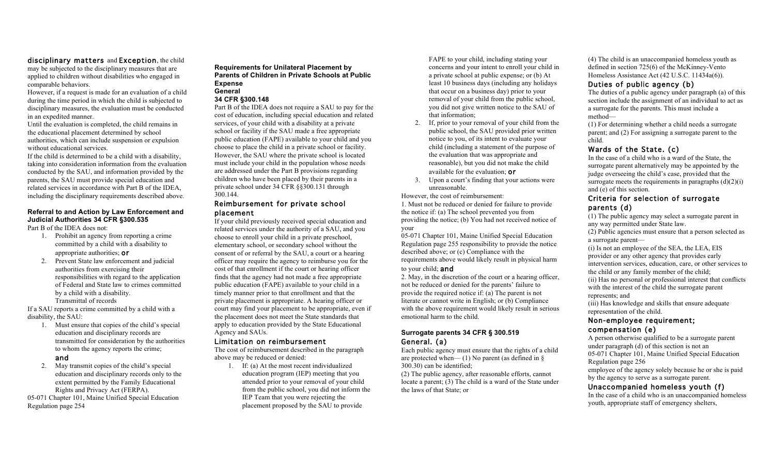# disciplinary matters and Exception, the child

may be subjected to the disciplinary measures that are applied to children without disabilities who engaged in comparable behaviors.

However, if a request is made for an evaluation of a child during the time period in which the child is subjected to disciplinary measures, the evaluation must be conducted in an expedited manner.

Until the evaluation is completed, the child remains in the educational placement determined by school authorities, which can include suspension or expulsion without educational services.

If the child is determined to be a child with a disability, taking into consideration information from the evaluation conducted by the SAU, and information provided by the parents, the SAU must provide special education and related services in accordance with Part B of the IDEA, including the disciplinary requirements described above.

# **Referral to and Action by Law Enforcement and Judicial Authorities 34 CFR §300.535**

Part B of the IDEA does not:

- 1. Prohibit an agency from reporting a crime committed by a child with a disability to appropriate authorities; or
- 2. Prevent State law enforcement and judicial authorities from exercising their responsibilities with regard to the application of Federal and State law to crimes committed by a child with a disability. Transmittal of records

If a SAU reports a crime committed by a child with a disability, the SAU:

1. Must ensure that copies of the child's special education and disciplinary records are transmitted for consideration by the authorities to whom the agency reports the crime;

### and

2. May transmit copies of the child's special education and disciplinary records only to the extent permitted by the Family Educational Rights and Privacy Act (FERPA). 05-071 Chapter 101, Maine Unified Special Education

Regulation page 254

#### **Requirements for Unilateral Placement by Parents of Children in Private Schools at Public Expense General**

# **34 CFR §300.148**

Part B of the IDEA does not require a SAU to pay for the cost of education, including special education and related services, of your child with a disability at a private school or facility if the SAU made a free appropriate public education (FAPE) available to your child and you choose to place the child in a private school or facility. However, the SAU where the private school is located must include your child in the population whose needs are addressed under the Part B provisions regarding children who have been placed by their parents in a private school under 34 CFR §§300.131 through 300.144.

## Reimbursement for private school placement

If your child previously received special education and related services under the authority of a SAU, and you choose to enroll your child in a private preschool, elementary school, or secondary school without the consent of or referral by the SAU, a court or a hearing officer may require the agency to reimburse you for the cost of that enrollment if the court or hearing officer finds that the agency had not made a free appropriate public education (FAPE) available to your child in a timely manner prior to that enrollment and that the private placement is appropriate. A hearing officer or court may find your placement to be appropriate, even if the placement does not meet the State standards that apply to education provided by the State Educational Agency and SAUs.

#### Limitation on reimbursement

The cost of reimbursement described in the paragraph above may be reduced or denied:

1. If: (a) At the most recent individualized education program (IEP) meeting that you attended prior to your removal of your child from the public school, you did not inform the IEP Team that you were rejecting the placement proposed by the SAU to provide

FAPE to your child, including stating your concerns and your intent to enroll your child in a private school at public expense; or (b) At least 10 business days (including any holidays that occur on a business day) prior to your removal of your child from the public school, you did not give written notice to the SAU of that information;

- 2. If, prior to your removal of your child from the public school, the SAU provided prior written notice to you, of its intent to evaluate your child (including a statement of the purpose of the evaluation that was appropriate and reasonable), but you did not make the child available for the evaluation; or
- 3. Upon a court's finding that your actions were unreasonable.

However, the cost of reimbursement:

1. Must not be reduced or denied for failure to provide the notice if: (a) The school prevented you from providing the notice; (b) You had not received notice of your

05-071 Chapter 101, Maine Unified Special Education Regulation page 255 responsibility to provide the notice described above; or (c) Compliance with the requirements above would likely result in physical harm

#### to your child; and

2. May, in the discretion of the court or a hearing officer, not be reduced or denied for the parents' failure to provide the required notice if: (a) The parent is not literate or cannot write in English; or (b) Compliance with the above requirement would likely result in serious emotional harm to the child.

# **Surrogate parents 34 CFR § 300.519**  General. (a)

Each public agency must ensure that the rights of a child are protected when—  $(1)$  No parent (as defined in  $\delta$ ) 300.30) can be identified;

(2) The public agency, after reasonable efforts, cannot locate a parent; (3) The child is a ward of the State under the laws of that State; or

(4) The child is an unaccompanied homeless youth as defined in section 725(6) of the McKinney-Vento Homeless Assistance Act (42 U.S.C. 11434a(6)).

## Duties of public agency (b)

The duties of a public agency under paragraph (a) of this section include the assignment of an individual to act as a surrogate for the parents. This must include a method—

(1) For determining whether a child needs a surrogate parent; and (2) For assigning a surrogate parent to the child.

# Wards of the State. (c)

In the case of a child who is a ward of the State, the surrogate parent alternatively may be appointed by the judge overseeing the child's case, provided that the surrogate meets the requirements in paragraphs  $(d)(2)(i)$ and (e) of this section.

# Criteria for selection of surrogate parents (d)

(1) The public agency may select a surrogate parent in any way permitted under State law.

(2) Public agencies must ensure that a person selected as a surrogate parent—

(i) Is not an employee of the SEA, the LEA, EIS provider or any other agency that provides early intervention services, education, care, or other services to the child or any family member of the child;

(ii) Has no personal or professional interest that conflicts with the interest of the child the surrogate parent represents; and

(iii) Has knowledge and skills that ensure adequate representation of the child.

# Non-employee requirement; compensation (e)

A person otherwise qualified to be a surrogate parent under paragraph (d) of this section is not an 05-071 Chapter 101, Maine Unified Special Education Regulation page 256

employee of the agency solely because he or she is paid by the agency to serve as a surrogate parent.

# Unaccompanied homeless youth (f)

In the case of a child who is an unaccompanied homeless youth, appropriate staff of emergency shelters,